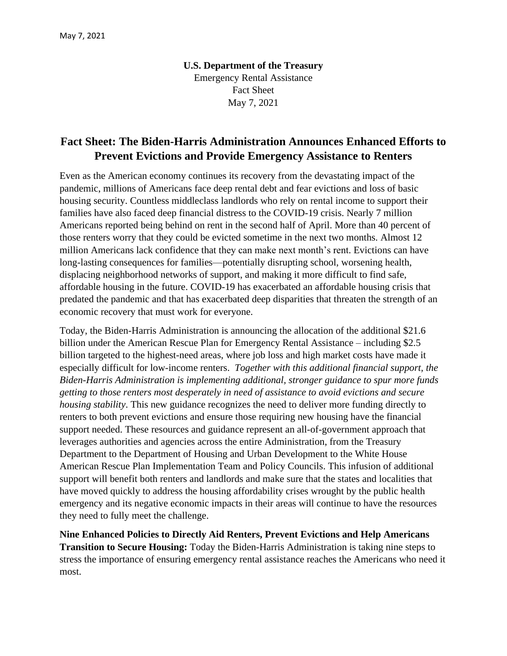**U.S. Department of the Treasury** Emergency Rental Assistance Fact Sheet May 7, 2021

## **Fact Sheet: The Biden-Harris Administration Announces Enhanced Efforts to Prevent Evictions and Provide Emergency Assistance to Renters**

Even as the American economy continues its recovery from the devastating impact of the pandemic, millions of Americans face deep rental debt and fear evictions and loss of basic housing security. Countless middleclass landlords who rely on rental income to support their families have also faced deep financial distress to the COVID-19 crisis. Nearly 7 million Americans reported being behind on rent in the second half of April. More than 40 percent of those renters worry that they could be evicted sometime in the next two months. Almost 12 million Americans lack confidence that they can make next month's rent. Evictions can have long-lasting consequences for families—potentially disrupting school, worsening health, displacing neighborhood networks of support, and making it more difficult to find safe, affordable housing in the future. COVID-19 has exacerbated an affordable housing crisis that predated the pandemic and that has exacerbated deep disparities that threaten the strength of an economic recovery that must work for everyone.

Today, the Biden-Harris Administration is announcing the allocation of the additional \$21.6 billion under the American Rescue Plan for Emergency Rental Assistance – including \$2.5 billion targeted to the highest-need areas, where job loss and high market costs have made it especially difficult for low-income renters. *Together with this additional financial support, the Biden-Harris Administration is implementing additional, stronger guidance to spur more funds getting to those renters most desperately in need of assistance to avoid evictions and secure housing stability*. This new guidance recognizes the need to deliver more funding directly to renters to both prevent evictions and ensure those requiring new housing have the financial support needed. These resources and guidance represent an all-of-government approach that leverages authorities and agencies across the entire Administration, from the Treasury Department to the Department of Housing and Urban Development to the White House American Rescue Plan Implementation Team and Policy Councils. This infusion of additional support will benefit both renters and landlords and make sure that the states and localities that have moved quickly to address the housing affordability crises wrought by the public health emergency and its negative economic impacts in their areas will continue to have the resources they need to fully meet the challenge.

**Nine Enhanced Policies to Directly Aid Renters, Prevent Evictions and Help Americans Transition to Secure Housing:** Today the Biden-Harris Administration is taking nine steps to stress the importance of ensuring emergency rental assistance reaches the Americans who need it most.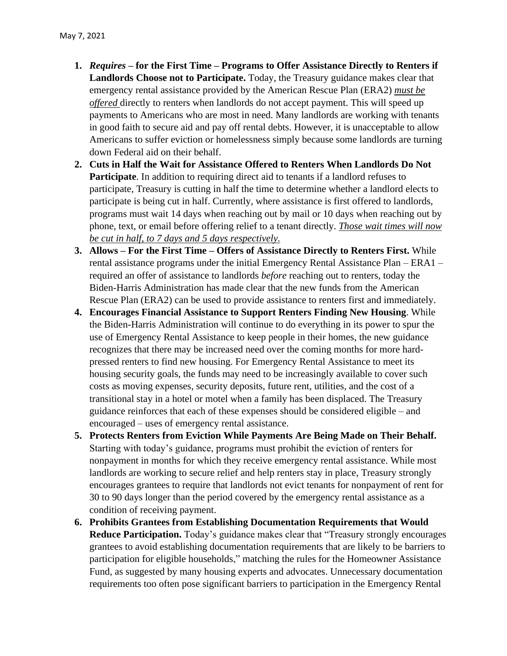- **1.** *Requires* **– for the First Time – Programs to Offer Assistance Directly to Renters if Landlords Choose not to Participate.** Today, the Treasury guidance makes clear that emergency rental assistance provided by the American Rescue Plan (ERA2) *must be offered* directly to renters when landlords do not accept payment. This will speed up payments to Americans who are most in need. Many landlords are working with tenants in good faith to secure aid and pay off rental debts. However, it is unacceptable to allow Americans to suffer eviction or homelessness simply because some landlords are turning down Federal aid on their behalf.
- **2. Cuts in Half the Wait for Assistance Offered to Renters When Landlords Do Not Participate**. In addition to requiring direct aid to tenants if a landlord refuses to participate, Treasury is cutting in half the time to determine whether a landlord elects to participate is being cut in half. Currently, where assistance is first offered to landlords, programs must wait 14 days when reaching out by mail or 10 days when reaching out by phone, text, or email before offering relief to a tenant directly. *Those wait times will now be cut in half, to 7 days and 5 days respectively.*
- **3. Allows – For the First Time – Offers of Assistance Directly to Renters First.** While rental assistance programs under the initial Emergency Rental Assistance Plan – ERA1 – required an offer of assistance to landlords *before* reaching out to renters, today the Biden-Harris Administration has made clear that the new funds from the American Rescue Plan (ERA2) can be used to provide assistance to renters first and immediately.
- **4. Encourages Financial Assistance to Support Renters Finding New Housing**. While the Biden-Harris Administration will continue to do everything in its power to spur the use of Emergency Rental Assistance to keep people in their homes, the new guidance recognizes that there may be increased need over the coming months for more hardpressed renters to find new housing. For Emergency Rental Assistance to meet its housing security goals, the funds may need to be increasingly available to cover such costs as moving expenses, security deposits, future rent, utilities, and the cost of a transitional stay in a hotel or motel when a family has been displaced. The Treasury guidance reinforces that each of these expenses should be considered eligible – and encouraged – uses of emergency rental assistance.
- **5. Protects Renters from Eviction While Payments Are Being Made on Their Behalf.** Starting with today's guidance, programs must prohibit the eviction of renters for nonpayment in months for which they receive emergency rental assistance. While most landlords are working to secure relief and help renters stay in place, Treasury strongly encourages grantees to require that landlords not evict tenants for nonpayment of rent for 30 to 90 days longer than the period covered by the emergency rental assistance as a condition of receiving payment.
- **6. Prohibits Grantees from Establishing Documentation Requirements that Would Reduce Participation.** Today's guidance makes clear that "Treasury strongly encourages grantees to avoid establishing documentation requirements that are likely to be barriers to participation for eligible households," matching the rules for the Homeowner Assistance Fund, as suggested by many housing experts and advocates. Unnecessary documentation requirements too often pose significant barriers to participation in the Emergency Rental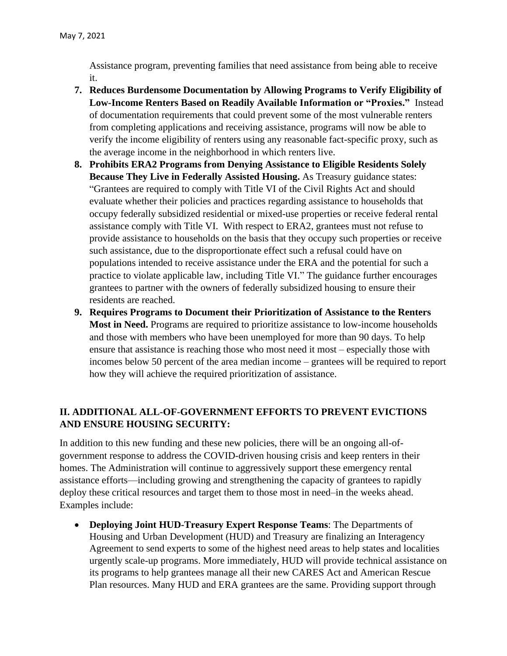Assistance program, preventing families that need assistance from being able to receive it.

- **7. Reduces Burdensome Documentation by Allowing Programs to Verify Eligibility of Low-Income Renters Based on Readily Available Information or "Proxies."** Instead of documentation requirements that could prevent some of the most vulnerable renters from completing applications and receiving assistance, programs will now be able to verify the income eligibility of renters using any reasonable fact-specific proxy, such as the average income in the neighborhood in which renters live.
- **8. Prohibits ERA2 Programs from Denying Assistance to Eligible Residents Solely Because They Live in Federally Assisted Housing.** As Treasury guidance states: "Grantees are required to comply with Title VI of the Civil Rights Act and should evaluate whether their policies and practices regarding assistance to households that occupy federally subsidized residential or mixed-use properties or receive federal rental assistance comply with Title VI. With respect to ERA2, grantees must not refuse to provide assistance to households on the basis that they occupy such properties or receive such assistance, due to the disproportionate effect such a refusal could have on populations intended to receive assistance under the ERA and the potential for such a practice to violate applicable law, including Title VI." The guidance further encourages grantees to partner with the owners of federally subsidized housing to ensure their residents are reached.
- **9. Requires Programs to Document their Prioritization of Assistance to the Renters Most in Need.** Programs are required to prioritize assistance to low-income households and those with members who have been unemployed for more than 90 days. To help ensure that assistance is reaching those who most need it most – especially those with incomes below 50 percent of the area median income – grantees will be required to report how they will achieve the required prioritization of assistance.

## **II. ADDITIONAL ALL-OF-GOVERNMENT EFFORTS TO PREVENT EVICTIONS AND ENSURE HOUSING SECURITY:**

In addition to this new funding and these new policies, there will be an ongoing all-ofgovernment response to address the COVID-driven housing crisis and keep renters in their homes. The Administration will continue to aggressively support these emergency rental assistance efforts—including growing and strengthening the capacity of grantees to rapidly deploy these critical resources and target them to those most in need–in the weeks ahead. Examples include:

• **Deploying Joint HUD-Treasury Expert Response Teams**: The Departments of Housing and Urban Development (HUD) and Treasury are finalizing an Interagency Agreement to send experts to some of the highest need areas to help states and localities urgently scale-up programs. More immediately, HUD will provide technical assistance on its programs to help grantees manage all their new CARES Act and American Rescue Plan resources. Many HUD and ERA grantees are the same. Providing support through